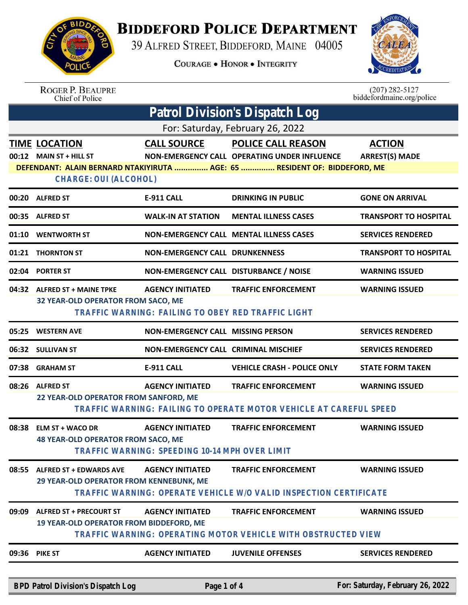

## **BIDDEFORD POLICE DEPARTMENT**

39 ALFRED STREET, BIDDEFORD, MAINE 04005

**COURAGE . HONOR . INTEGRITY** 



ROGER P. BEAUPRE<br>Chief of Police

 $(207)$  282-5127<br>biddefordmaine.org/police

| Patrol Division's Dispatch Log   |                                                                                                    |                                                                               |                                                                                                  |                                        |  |
|----------------------------------|----------------------------------------------------------------------------------------------------|-------------------------------------------------------------------------------|--------------------------------------------------------------------------------------------------|----------------------------------------|--|
| For: Saturday, February 26, 2022 |                                                                                                    |                                                                               |                                                                                                  |                                        |  |
|                                  | <b>TIME LOCATION</b><br>00:12 MAIN ST + HILL ST                                                    | <b>CALL SOURCE</b>                                                            | <b>POLICE CALL REASON</b><br>NON-EMERGENCY CALL OPERATING UNDER INFLUENCE                        | <b>ACTION</b><br><b>ARREST(S) MADE</b> |  |
|                                  | DEFENDANT: ALAIN BERNARD NTAKIYIRUTA  AGE: 65  RESIDENT OF: BIDDEFORD, ME<br>CHARGE: OUI (ALCOHOL) |                                                                               |                                                                                                  |                                        |  |
|                                  | 00:20 ALFRED ST                                                                                    | <b>E-911 CALL</b>                                                             | <b>DRINKING IN PUBLIC</b>                                                                        | <b>GONE ON ARRIVAL</b>                 |  |
|                                  | 00:35 ALFRED ST                                                                                    | <b>WALK-IN AT STATION</b>                                                     | <b>MENTAL ILLNESS CASES</b>                                                                      | <b>TRANSPORT TO HOSPITAL</b>           |  |
|                                  | 01:10 WENTWORTH ST                                                                                 |                                                                               | <b>NON-EMERGENCY CALL MENTAL ILLNESS CASES</b>                                                   | <b>SERVICES RENDERED</b>               |  |
|                                  | 01:21 THORNTON ST                                                                                  | <b>NON-EMERGENCY CALL DRUNKENNESS</b>                                         |                                                                                                  | <b>TRANSPORT TO HOSPITAL</b>           |  |
|                                  | 02:04 PORTER ST                                                                                    | NON-EMERGENCY CALL DISTURBANCE / NOISE                                        |                                                                                                  | <b>WARNING ISSUED</b>                  |  |
|                                  | 04:32 ALFRED ST + MAINE TPKE<br>32 YEAR-OLD OPERATOR FROM SACO, ME                                 | <b>AGENCY INITIATED</b><br>TRAFFIC WARNING: FAILING TO OBEY RED TRAFFIC LIGHT | <b>TRAFFIC ENFORCEMENT</b>                                                                       | <b>WARNING ISSUED</b>                  |  |
| 05:25                            | <b>WESTERN AVE</b>                                                                                 | NON-EMERGENCY CALL MISSING PERSON                                             |                                                                                                  | <b>SERVICES RENDERED</b>               |  |
|                                  | 06:32 SULLIVAN ST                                                                                  | <b>NON-EMERGENCY CALL CRIMINAL MISCHIEF</b>                                   |                                                                                                  | <b>SERVICES RENDERED</b>               |  |
|                                  | 07:38 GRAHAM ST                                                                                    | <b>E-911 CALL</b>                                                             | <b>VEHICLE CRASH - POLICE ONLY</b>                                                               | <b>STATE FORM TAKEN</b>                |  |
| 08:26                            | <b>ALFRED ST</b><br>22 YEAR-OLD OPERATOR FROM SANFORD, ME                                          | <b>AGENCY INITIATED</b>                                                       | <b>TRAFFIC ENFORCEMENT</b><br>TRAFFIC WARNING: FAILING TO OPERATE MOTOR VEHICLE AT CAREFUL SPEED | <b>WARNING ISSUED</b>                  |  |
| 08:38                            | <b>ELM ST + WACO DR</b><br><b>48 YEAR-OLD OPERATOR FROM SACO, ME</b>                               | <b>AGENCY INITIATED</b><br>TRAFFIC WARNING: SPEEDING 10-14 MPH OVER LIMIT     | <b>TRAFFIC ENFORCEMENT</b>                                                                       | <b>WARNING ISSUED</b>                  |  |
| 08:55                            | <b>ALFRED ST + EDWARDS AVE</b><br>29 YEAR-OLD OPERATOR FROM KENNEBUNK, ME                          | <b>AGENCY INITIATED</b>                                                       | <b>TRAFFIC ENFORCEMENT</b><br>TRAFFIC WARNING: OPERATE VEHICLE W/O VALID INSPECTION CERTIFICATE  | <b>WARNING ISSUED</b>                  |  |
| 09:09                            | <b>ALFRED ST + PRECOURT ST</b><br><b>19 YEAR-OLD OPERATOR FROM BIDDEFORD, ME</b>                   | <b>AGENCY INITIATED</b>                                                       | <b>TRAFFIC ENFORCEMENT</b><br>TRAFFIC WARNING: OPERATING MOTOR VEHICLE WITH OBSTRUCTED VIEW      | <b>WARNING ISSUED</b>                  |  |
| 09:36                            | <b>PIKE ST</b>                                                                                     | <b>AGENCY INITIATED</b>                                                       | <b>JUVENILE OFFENSES</b>                                                                         | <b>SERVICES RENDERED</b>               |  |
|                                  | BPD Patrol Division's Dispatch Log                                                                 | Page 1 of 4                                                                   |                                                                                                  | For: Saturday, February 26, 2022       |  |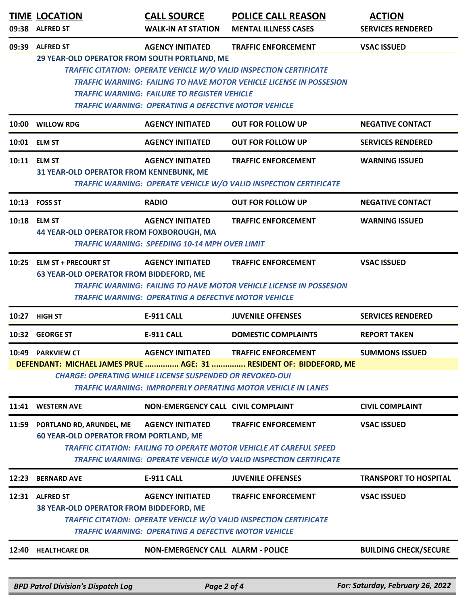| 09:38 | <b>TIME LOCATION</b><br><b>ALFRED ST</b>                                      | <b>CALL SOURCE</b><br><b>WALK-IN AT STATION</b>                                                                                        | <b>POLICE CALL REASON</b><br><b>MENTAL ILLNESS CASES</b>                                                                                                                       | <b>ACTION</b><br><b>SERVICES RENDERED</b> |
|-------|-------------------------------------------------------------------------------|----------------------------------------------------------------------------------------------------------------------------------------|--------------------------------------------------------------------------------------------------------------------------------------------------------------------------------|-------------------------------------------|
| 09:39 | <b>ALFRED ST</b><br>29 YEAR-OLD OPERATOR FROM SOUTH PORTLAND, ME              | <b>AGENCY INITIATED</b><br><b>TRAFFIC WARNING: FAILURE TO REGISTER VEHICLE</b><br>TRAFFIC WARNING: OPERATING A DEFECTIVE MOTOR VEHICLE | <b>TRAFFIC ENFORCEMENT</b><br>TRAFFIC CITATION: OPERATE VEHICLE W/O VALID INSPECTION CERTIFICATE<br><b>TRAFFIC WARNING: FAILING TO HAVE MOTOR VEHICLE LICENSE IN POSSESION</b> | <b>VSAC ISSUED</b>                        |
|       | 10:00 WILLOW RDG                                                              | <b>AGENCY INITIATED</b>                                                                                                                | <b>OUT FOR FOLLOW UP</b>                                                                                                                                                       | <b>NEGATIVE CONTACT</b>                   |
|       | 10:01 ELM ST                                                                  | <b>AGENCY INITIATED</b>                                                                                                                | <b>OUT FOR FOLLOW UP</b>                                                                                                                                                       | <b>SERVICES RENDERED</b>                  |
|       | 10:11 ELM ST<br>31 YEAR-OLD OPERATOR FROM KENNEBUNK, ME                       | <b>AGENCY INITIATED</b>                                                                                                                | <b>TRAFFIC ENFORCEMENT</b><br>TRAFFIC WARNING: OPERATE VEHICLE W/O VALID INSPECTION CERTIFICATE                                                                                | <b>WARNING ISSUED</b>                     |
|       | 10:13 FOSS ST                                                                 | <b>RADIO</b>                                                                                                                           | <b>OUT FOR FOLLOW UP</b>                                                                                                                                                       | <b>NEGATIVE CONTACT</b>                   |
| 10:18 | <b>ELM ST</b><br>44 YEAR-OLD OPERATOR FROM FOXBOROUGH, MA                     | <b>AGENCY INITIATED</b><br><b>TRAFFIC WARNING: SPEEDING 10-14 MPH OVER LIMIT</b>                                                       | <b>TRAFFIC ENFORCEMENT</b>                                                                                                                                                     | <b>WARNING ISSUED</b>                     |
| 10:25 | <b>ELM ST + PRECOURT ST</b><br><b>63 YEAR-OLD OPERATOR FROM BIDDEFORD, ME</b> | <b>AGENCY INITIATED</b><br><b>TRAFFIC WARNING: OPERATING A DEFECTIVE MOTOR VEHICLE</b>                                                 | <b>TRAFFIC ENFORCEMENT</b><br>TRAFFIC WARNING: FAILING TO HAVE MOTOR VEHICLE LICENSE IN POSSESION                                                                              | <b>VSAC ISSUED</b>                        |
|       | 10:27 HIGH ST                                                                 | <b>E-911 CALL</b>                                                                                                                      | <b>JUVENILE OFFENSES</b>                                                                                                                                                       | <b>SERVICES RENDERED</b>                  |
|       | 10:32 GEORGE ST                                                               | <b>E-911 CALL</b>                                                                                                                      | <b>DOMESTIC COMPLAINTS</b>                                                                                                                                                     | <b>REPORT TAKEN</b>                       |
|       | 10:49 PARKVIEW CT                                                             | <b>AGENCY INITIATED</b>                                                                                                                | <b>TRAFFIC ENFORCEMENT</b>                                                                                                                                                     | <b>SUMMONS ISSUED</b>                     |
|       |                                                                               | <b>CHARGE: OPERATING WHILE LICENSE SUSPENDED OR REVOKED-OUI</b>                                                                        | DEFENDANT: MICHAEL JAMES PRUE  AGE: 31  RESIDENT OF: BIDDEFORD, ME<br><b>TRAFFIC WARNING: IMPROPERLY OPERATING MOTOR VEHICLE IN LANES</b>                                      |                                           |
| 11:41 | <b>WESTERN AVE</b>                                                            | NON-EMERGENCY CALL CIVIL COMPLAINT                                                                                                     |                                                                                                                                                                                | <b>CIVIL COMPLAINT</b>                    |
| 11:59 | PORTLAND RD, ARUNDEL, ME<br><b>60 YEAR-OLD OPERATOR FROM PORTLAND, ME</b>     | <b>AGENCY INITIATED</b>                                                                                                                | <b>TRAFFIC ENFORCEMENT</b><br><b>TRAFFIC CITATION: FAILING TO OPERATE MOTOR VEHICLE AT CAREFUL SPEED</b><br>TRAFFIC WARNING: OPERATE VEHICLE W/O VALID INSPECTION CERTIFICATE  | <b>VSAC ISSUED</b>                        |
| 12:23 | <b>BERNARD AVE</b>                                                            | E-911 CALL                                                                                                                             | <b>JUVENILE OFFENSES</b>                                                                                                                                                       | <b>TRANSPORT TO HOSPITAL</b>              |
|       | 12:31 ALFRED ST<br>38 YEAR-OLD OPERATOR FROM BIDDEFORD, ME                    | <b>AGENCY INITIATED</b><br><b>TRAFFIC WARNING: OPERATING A DEFECTIVE MOTOR VEHICLE</b>                                                 | <b>TRAFFIC ENFORCEMENT</b><br>TRAFFIC CITATION: OPERATE VEHICLE W/O VALID INSPECTION CERTIFICATE                                                                               | <b>VSAC ISSUED</b>                        |
| 12:40 | <b>HEALTHCARE DR</b>                                                          | <b>NON-EMERGENCY CALL ALARM - POLICE</b>                                                                                               |                                                                                                                                                                                | <b>BUILDING CHECK/SECURE</b>              |
|       | <b>BPD Patrol Division's Dispatch Log</b>                                     | Page 2 of 4                                                                                                                            |                                                                                                                                                                                | For: Saturday, February 26, 2022          |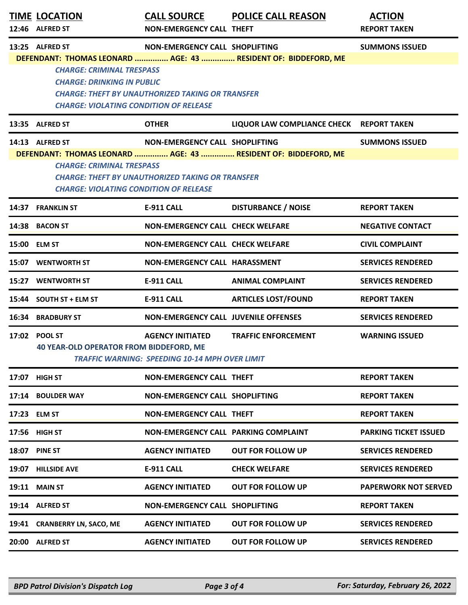| <b>TIME LOCATION</b><br>12:46 ALFRED ST                                                                                | <b>CALL SOURCE</b><br><b>NON-EMERGENCY CALL THEFT</b>                                            | <b>POLICE CALL REASON</b>                                      | <b>ACTION</b><br><b>REPORT TAKEN</b> |
|------------------------------------------------------------------------------------------------------------------------|--------------------------------------------------------------------------------------------------|----------------------------------------------------------------|--------------------------------------|
| 13:25 ALFRED ST                                                                                                        | NON-EMERGENCY CALL SHOPLIFTING                                                                   | DEFENDANT: THOMAS LEONARD  AGE: 43  RESIDENT OF: BIDDEFORD, ME | <b>SUMMONS ISSUED</b>                |
| <b>CHARGE: CRIMINAL TRESPASS</b><br><b>CHARGE: DRINKING IN PUBLIC</b><br><b>CHARGE: VIOLATING CONDITION OF RELEASE</b> | <b>CHARGE: THEFT BY UNAUTHORIZED TAKING OR TRANSFER</b>                                          |                                                                |                                      |
| 13:35 ALFRED ST                                                                                                        | <b>OTHER</b>                                                                                     | LIQUOR LAW COMPLIANCE CHECK REPORT TAKEN                       |                                      |
| 14:13 ALFRED ST<br><b>CHARGE: CRIMINAL TRESPASS</b><br><b>CHARGE: VIOLATING CONDITION OF RELEASE</b>                   | <b>NON-EMERGENCY CALL SHOPLIFTING</b><br><b>CHARGE: THEFT BY UNAUTHORIZED TAKING OR TRANSFER</b> | DEFENDANT: THOMAS LEONARD  AGE: 43  RESIDENT OF: BIDDEFORD, ME | <b>SUMMONS ISSUED</b>                |
| 14:37 FRANKLIN ST                                                                                                      | <b>E-911 CALL</b>                                                                                | <b>DISTURBANCE / NOISE</b>                                     | <b>REPORT TAKEN</b>                  |
| 14:38 BACON ST                                                                                                         | <b>NON-EMERGENCY CALL CHECK WELFARE</b>                                                          |                                                                | <b>NEGATIVE CONTACT</b>              |
| 15:00 ELM ST                                                                                                           | <b>NON-EMERGENCY CALL CHECK WELFARE</b>                                                          |                                                                | <b>CIVIL COMPLAINT</b>               |
| 15:07 WENTWORTH ST                                                                                                     | NON-EMERGENCY CALL HARASSMENT                                                                    |                                                                | <b>SERVICES RENDERED</b>             |
| 15:27 WENTWORTH ST                                                                                                     | <b>E-911 CALL</b>                                                                                | <b>ANIMAL COMPLAINT</b>                                        | <b>SERVICES RENDERED</b>             |
| 15:44 SOUTH ST + ELM ST                                                                                                | <b>E-911 CALL</b>                                                                                | <b>ARTICLES LOST/FOUND</b>                                     | <b>REPORT TAKEN</b>                  |
| 16:34 BRADBURY ST                                                                                                      | <b>NON-EMERGENCY CALL JUVENILE OFFENSES</b>                                                      |                                                                | <b>SERVICES RENDERED</b>             |
| 17:02 POOL ST<br>40 YEAR-OLD OPERATOR FROM BIDDEFORD, ME                                                               | <b>AGENCY INITIATED</b><br><b>TRAFFIC WARNING: SPEEDING 10-14 MPH OVER LIMIT</b>                 | <b>TRAFFIC ENFORCEMENT</b>                                     | <b>WARNING ISSUED</b>                |
| 17:07 HIGH ST                                                                                                          | <b>NON-EMERGENCY CALL THEFT</b>                                                                  |                                                                | <b>REPORT TAKEN</b>                  |
| 17:14 BOULDER WAY                                                                                                      | <b>NON-EMERGENCY CALL SHOPLIFTING</b>                                                            |                                                                | <b>REPORT TAKEN</b>                  |
| 17:23 ELM ST                                                                                                           | <b>NON-EMERGENCY CALL THEFT</b>                                                                  |                                                                | <b>REPORT TAKEN</b>                  |
| 17:56 HIGH ST                                                                                                          | NON-EMERGENCY CALL PARKING COMPLAINT                                                             |                                                                | <b>PARKING TICKET ISSUED</b>         |
| 18:07 PINE ST                                                                                                          | <b>AGENCY INITIATED</b>                                                                          | <b>OUT FOR FOLLOW UP</b>                                       | <b>SERVICES RENDERED</b>             |
| 19:07 HILLSIDE AVE                                                                                                     | <b>E-911 CALL</b>                                                                                | <b>CHECK WELFARE</b>                                           | <b>SERVICES RENDERED</b>             |
| <b>19:11 MAIN ST</b>                                                                                                   | <b>AGENCY INITIATED</b>                                                                          | <b>OUT FOR FOLLOW UP</b>                                       | <b>PAPERWORK NOT SERVED</b>          |
| 19:14 ALFRED ST                                                                                                        | NON-EMERGENCY CALL SHOPLIFTING                                                                   |                                                                | <b>REPORT TAKEN</b>                  |
| 19:41 CRANBERRY LN, SACO, ME                                                                                           | <b>AGENCY INITIATED</b>                                                                          | <b>OUT FOR FOLLOW UP</b>                                       | <b>SERVICES RENDERED</b>             |
| 20:00 ALFRED ST                                                                                                        | <b>AGENCY INITIATED</b>                                                                          | <b>OUT FOR FOLLOW UP</b>                                       | <b>SERVICES RENDERED</b>             |